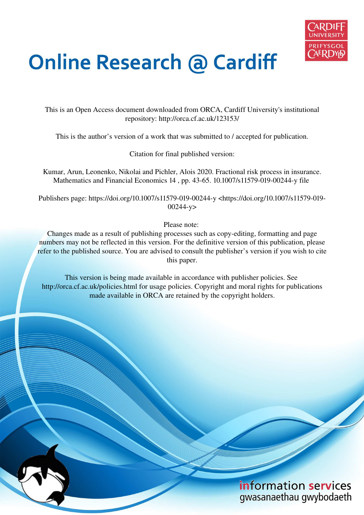

# **Online Research @ Cardiff**

This is an Open Access document downloaded from ORCA, Cardiff University's institutional repository: http://orca.cf.ac.uk/123153/

This is the author's version of a work that was submitted to / accepted for publication.

Citation for final published version:

Kumar, Arun, Leonenko, Nikolai and Pichler, Alois 2020. Fractional risk process in insurance. Mathematics and Financial Economics 14 , pp. 43-65. 10.1007/s11579-019-00244-y file

Publishers page: https://doi.org/10.1007/s11579-019-00244-y <https://doi.org/10.1007/s11579-019- 00244-y>

Please note:

Changes made as a result of publishing processes such as copy-editing, formatting and page numbers may not be reflected in this version. For the definitive version of this publication, please refer to the published source. You are advised to consult the publisher's version if you wish to cite this paper.

This version is being made available in accordance with publisher policies. See http://orca.cf.ac.uk/policies.html for usage policies. Copyright and moral rights for publications made available in ORCA are retained by the copyright holders.

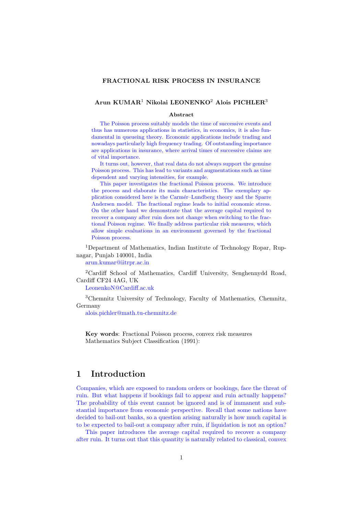#### FRACTIONAL RISK PROCESS IN INSURANCE

## Arun KUMAR<sup>1</sup> Nikolai LEONENKO<sup>2</sup> Alois PICHLER<sup>3</sup>

#### Abstract

The Poisson process suitably models the time of successive events and thus has numerous applications in statistics, in economics, it is also fundamental in queueing theory. Economic applications include trading and nowadays particularly high frequency trading. Of outstanding importance are applications in insurance, where arrival times of successive claims are of vital importance.

It turns out, however, that real data do not always support the genuine Poisson process. This has lead to variants and augmentations such as time dependent and varying intensities, for example.

This paper investigates the fractional Poisson process. We introduce the process and elaborate its main characteristics. The exemplary application considered here is the Carmér–Lundberg theory and the Sparre Andersen model. The fractional regime leads to initial economic stress. On the other hand we demonstrate that the average capital required to recover a company after ruin does not change when switching to the fractional Poisson regime. We finally address particular risk measures, which allow simple evaluations in an environment governed by the fractional Poisson process.

<sup>1</sup>Department of Mathematics, Indian Institute of Technology Ropar, Rupnagar, Punjab 140001, India

<arun.kumar@iitrpr.ac.in>

<sup>2</sup>Cardiff School of Mathematics, Cardiff University, Senghennydd Road, Cardiff CF24 4AG, UK

<LeonenkoN@Cardiff.ac.uk>

<sup>3</sup>Chemnitz University of Technology, Faculty of Mathematics, Chemnitz, Germany

<alois.pichler@math.tu-chemnitz.de>

Key words: Fractional Poisson process, convex risk measures Mathematics Subject Classification (1991):

# 1 Introduction

Companies, which are exposed to random orders or bookings, face the threat of ruin. But what happens if bookings fail to appear and ruin actually happens? The probability of this event cannot be ignored and is of immanent and substantial importance from economic perspective. Recall that some nations have decided to bail-out banks, so a question arising naturally is how much capital is to be expected to bail-out a company after ruin, if liquidation is not an option?

This paper introduces the average capital required to recover a company after ruin. It turns out that this quantity is naturally related to classical, convex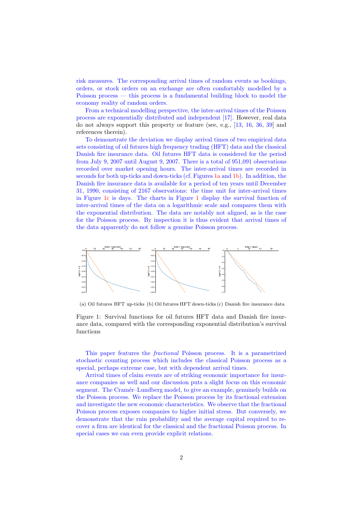risk measures. The corresponding arrival times of random events as bookings, orders, or stock orders on an exchange are often comfortably modelled by a Poisson process — this process is a fundamental building block to model the economy reality of random orders.

From a technical modelling perspective, the inter-arrival times of the Poisson process are exponentially distributed and independent [\[17\]](#page-23-0). However, real data do not always support this property or feature (see, e.g., [\[13,](#page-23-1) [16,](#page-23-2) [36,](#page-24-0) [39\]](#page-24-1) and references therein).

To demonstrate the deviation we display arrival times of two empirical data sets consisting of oil futures high frequency trading (HFT) data and the classical Danish fire insurance data. Oil futures HFT data is considered for the period from July 9, 2007 until August 9, 2007. There is a total of 951,091 observations recorded over market opening hours. The inter-arrival times are recorded in seconds for both up-ticks and down-ticks (cf. Figures [1a](#page-2-0) and [1b\)](#page-2-1). In addition, the Danish fire insurance data is available for a period of ten years until December 31, 1990, consisting of 2167 observations: the time unit for inter-arrival times in Figure [1c](#page-2-2) is days. The charts in Figure [1](#page-2-3) display the survival function of inter-arrival times of the data on a logarithmic scale and compares them with the exponential distribution. The data are notably not aligned, as is the case for the Poisson process. By inspection it is thus evident that arrival times of the data apparently do not follow a genuine Poisson process.

<span id="page-2-3"></span><span id="page-2-0"></span>

<span id="page-2-2"></span><span id="page-2-1"></span>(a) Oil futures HFT up-ticks (b) Oil futures HFT down-ticks (c) Danish fire insurance data

Figure 1: Survival functions for oil futures HFT data and Danish fire insurance data, compared with the corresponding exponential distribution's survival functions

This paper features the fractional Poisson process. It is a parametrized stochastic counting process which includes the classical Poisson process as a special, perhaps extreme case, but with dependent arrival times.

Arrival times of claim events are of striking economic importance for insurance companies as well and our discussion puts a slight focus on this economic segment. The Cramér–Lundberg model, to give an example, genuinely builds on the Poisson process. We replace the Poisson process by its fractional extension and investigate the new economic characteristics. We observe that the fractional Poisson process exposes companies to higher initial stress. But conversely, we demonstrate that the ruin probability and the average capital required to recover a firm are identical for the classical and the fractional Poisson process. In special cases we can even provide explicit relations.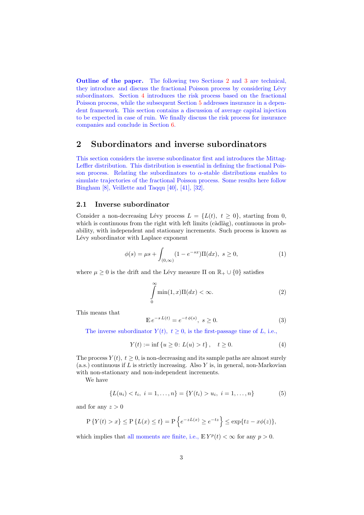Outline of the paper. The following two Sections [2](#page-3-0) and [3](#page-7-0) are technical, they introduce and discuss the fractional Poisson process by considering Lévy subordinators. Section [4](#page-10-0) introduces the risk process based on the fractional Poisson process, while the subsequent Section [5](#page-15-0) addresses insurance in a dependent framework. This section contains a discussion of average capital injection to be expected in case of ruin. We finally discuss the risk process for insurance companies and conclude in Section [6.](#page-21-0)

# <span id="page-3-0"></span>2 Subordinators and inverse subordinators

This section considers the inverse subordinator first and introduces the Mittag-Leffler distribution. This distribution is essential in defining the fractional Poisson process. Relating the subordinators to  $\alpha$ -stable distributions enables to simulate trajectories of the fractional Poisson process. Some results here follow Bingham [\[8\]](#page-22-0), Veillette and Taqqu [\[40\]](#page-24-2), [\[41\]](#page-24-3), [\[32\]](#page-24-4).

## 2.1 Inverse subordinator

Consider a non-decreasing Lévy process  $L = \{L(t), t \geq 0\}$ , starting from 0, which is continuous from the right with left limits  $(c\hat{\alpha}d\hat{\alpha}g)$ , continuous in probability, with independent and stationary increments. Such process is known as Lévy subordinator with Laplace exponent

$$
\phi(s) = \mu s + \int_{(0,\infty)} (1 - e^{-sx}) \Pi(dx), \ s \ge 0,
$$
\n(1)

where  $\mu \geq 0$  is the drift and the Lévy measure  $\Pi$  on  $\mathbb{R}_+ \cup \{0\}$  satisfies

$$
\int_{0}^{\infty} \min(1, x) \Pi(dx) < \infty. \tag{2}
$$

This means that

$$
\mathbb{E} e^{-s L(t)} = e^{-t \phi(s)}, \ s \ge 0.
$$
 (3)

The inverse subordinator  $Y(t)$ ,  $t \geq 0$ , is the first-passage time of L, i.e.,

<span id="page-3-1"></span>
$$
Y(t) := \inf \{ u \ge 0 : L(u) > t \}, \quad t \ge 0.
$$
 (4)

The process  $Y(t)$ ,  $t \geq 0$ , is non-decreasing and its sample paths are almost surely  $(a.s.)$  continuous if L is strictly increasing. Also Y is, in general, non-Markovian with non-stationary and non-independent increments.

We have

$$
\{L(u_i) < t_i, \ i = 1, \dots, n\} = \{Y(t_i) > u_i, \ i = 1, \dots, n\} \tag{5}
$$

and for any  $z > 0$ 

$$
P\{Y(t) > x\} \le P\{L(x) \le t\} = P\{e^{-zL(x)} \ge e^{-tz}\}\le \exp\{tz - x\phi(z)\},\
$$

which implies that all moments are finite, i.e.,  $E Y^p(t) < \infty$  for any  $p > 0$ .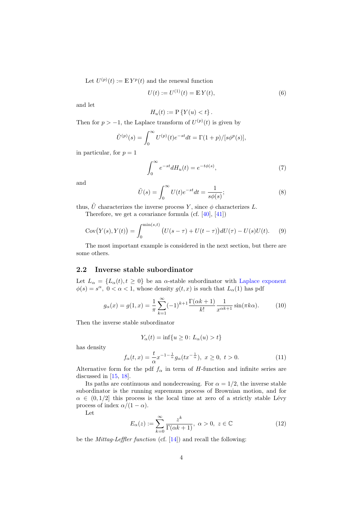Let  $U^{(p)}(t) := \mathbb{E} Y^p(t)$  and the renewal function

$$
U(t) := U^{(1)}(t) = \mathbb{E}Y(t),
$$
\n(6)

and let

$$
H_u(t) := \mathcal{P}\left\{Y(u) < t\right\}.
$$

Then for  $p > -1$ , the Laplace transform of  $U^{(p)}(t)$  is given by

$$
\tilde{U}^{(p)}(s) = \int_0^\infty U^{(p)}(t)e^{-st}dt = \Gamma(1+p)/[s\phi^p(s)],
$$

in particular, for  $p = 1$ 

$$
\int_0^\infty e^{-st} dH_u(t) = e^{-t\phi(s)},\tag{7}
$$

and

$$
\tilde{U}(s) = \int_0^\infty U(t)e^{-st}dt = \frac{1}{s\phi(s)};
$$
\n(8)

thus,  $\tilde{U}$  characterizes the inverse process Y, since  $\phi$  characterizes L.

Therefore, we get a covariance formula (cf. [\[40\]](#page-24-2), [\[41\]](#page-24-3))

Cov
$$
(Y(s), Y(t)) = \int_0^{\min(s,t)} (U(s-\tau) + U(t-\tau))dU(\tau) - U(s)U(t).
$$
 (9)

The most important example is considered in the next section, but there are some others.

#### 2.2 Inverse stable subordinator

Let  $L_{\alpha} = \{L_{\alpha}(t), t \geq 0\}$  be an  $\alpha$ -stable subordinator with Laplace exponent  $\phi(s) = s^{\alpha}, 0 < \alpha < 1$ , whose density  $g(t, x)$  is such that  $L_{\alpha}(1)$  has pdf

$$
g_{\alpha}(x) = g(1, x) = \frac{1}{\pi} \sum_{k=1}^{\infty} (-1)^{k+1} \frac{\Gamma(\alpha k + 1)}{k!} \frac{1}{x^{\alpha k + 1}} \sin(\pi k \alpha).
$$
 (10)

Then the inverse stable subordinator

<span id="page-4-0"></span>
$$
Y_{\alpha}(t) = \inf\{u \ge 0 \colon L_{\alpha}(u) > t\}
$$

has density

<span id="page-4-2"></span>
$$
f_{\alpha}(t,x) = \frac{t}{\alpha} x^{-1-\frac{1}{\alpha}} g_{\alpha}(tx^{-\frac{1}{\alpha}}), \ x \ge 0, \ t > 0.
$$
 (11)

Alternative form for the pdf  $f_\alpha$  in term of H-function and infinite series are discussed in [\[15,](#page-23-3) [18\]](#page-23-4).

Its paths are continuous and nondecreasing. For  $\alpha = 1/2$ , the inverse stable subordinator is the running supremum process of Brownian motion, and for  $\alpha \in (0, 1/2]$  this process is the local time at zero of a strictly stable Lévy process of index  $\alpha/(1-\alpha)$ .

Let

<span id="page-4-1"></span>
$$
E_{\alpha}(z) := \sum_{k=0}^{\infty} \frac{z^k}{\Gamma(\alpha k + 1)}, \ \alpha > 0, \ z \in \mathbb{C}
$$
 (12)

be the Mittag-Leffler function (cf. [\[14\]](#page-23-5)) and recall the following: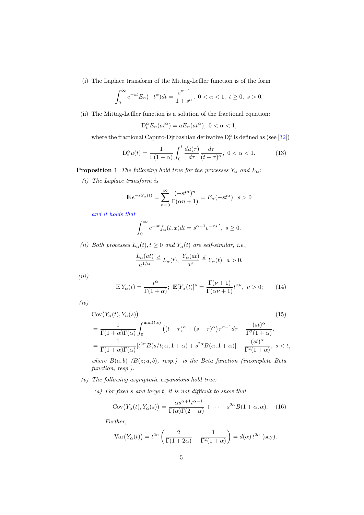(i) The Laplace transform of the Mittag-Leffler function is of the form

$$
\int_0^\infty e^{-st} E_\alpha(-t^\alpha) dt = \frac{s^{\alpha-1}}{1+s^\alpha}, \ 0 < \alpha < 1, \ t \ge 0, \ s > 0.
$$

(ii) The Mittag-Leffler function is a solution of the fractional equation:

$$
D_t^{\alpha} E_{\alpha}(at^{\alpha}) = aE_{\alpha}(at^{\alpha}), \ 0 < \alpha < 1,
$$

where the fractional Caputo-Djrbashian derivative  $D_t^{\alpha}$  is defined as (see [\[32\]](#page-24-4))

<span id="page-5-0"></span>
$$
D_t^{\alpha}u(t) = \frac{1}{\Gamma(1-\alpha)} \int_0^t \frac{du(\tau)}{d\tau} \frac{d\tau}{(t-\tau)^{\alpha}}, \ 0 < \alpha < 1. \tag{13}
$$

**Proposition 1** The following hold true for the processes  $Y_\alpha$  and  $L_\alpha$ :

(i) The Laplace transform is

$$
\mathbb{E} e^{-sY_{\alpha}(t)} = \sum_{n=0}^{\infty} \frac{(-st^{\alpha})^n}{\Gamma(\alpha n + 1)} = E_{\alpha}(-st^{\alpha}), \ s > 0
$$

and it holds that

$$
\int_0^\infty e^{-st} f_\alpha(t, x) dt = s^{\alpha - 1} e^{-xs^\alpha}, \ s \ge 0.
$$

(ii) Both processes  $L_{\alpha}(t), t \geq 0$  and  $Y_{\alpha}(t)$  are self-similar, i.e.,

<span id="page-5-1"></span>
$$
\frac{L_{\alpha}(at)}{a^{1/\alpha}} \stackrel{d}{=} L_{\alpha}(t), \ \frac{Y_{\alpha}(at)}{a^{\alpha}} \stackrel{d}{=} Y_{\alpha}(t), \ a > 0.
$$

 $(iii)$ 

<span id="page-5-2"></span>
$$
\mathbb{E}Y_{\alpha}(t) = \frac{t^{\alpha}}{\Gamma(1+\alpha)}; \ \mathbb{E}[Y_{\alpha}(t)]^{\nu} = \frac{\Gamma(\nu+1)}{\Gamma(\alpha\nu+1)}t^{\alpha\nu}, \ \nu > 0; \qquad (14)
$$

 $(iv)$ 

$$
Cov(Y_{\alpha}(t), Y_{\alpha}(s))
$$
\n
$$
= \frac{1}{\Gamma(1+\alpha)\Gamma(\alpha)} \int_0^{\min(t,s)} \left( (t-\tau)^{\alpha} + (s-\tau)^{\alpha} \right) \tau^{\alpha-1} d\tau - \frac{(st)^{\alpha}}{\Gamma^2(1+\alpha)}.
$$
\n
$$
= \frac{1}{\Gamma(1+\alpha)\Gamma(\alpha)} \left[ t^{2\alpha} B(s/t; \alpha, 1+\alpha) + s^{2\alpha} B(\alpha, 1+\alpha) \right] - \frac{(st)^{\alpha}}{\Gamma^2(1+\alpha)}, \ s < t,
$$

where  $B(a, b)$   $(B(z; a, b), resp.)$  is the Beta function (incomplete Beta function, resp.).

- $(v)$  The following asymptotic expansions hold true:
	- (a) For fixed s and large t, it is not difficult to show that

$$
Cov(Y_{\alpha}(t), Y_{\alpha}(s)) = \frac{-\alpha s^{\alpha+1} t^{\alpha-1}}{\Gamma(\alpha)\Gamma(2+\alpha)} + \dots + s^{2\alpha} B(1+\alpha, \alpha). \quad (16)
$$

Further,

<span id="page-5-3"></span>
$$
\operatorname{Var}\!\left(Y_{\alpha}(t)\right) = t^{2\alpha} \left( \frac{2}{\Gamma(1+2\alpha)} - \frac{1}{\Gamma^2(1+\alpha)} \right) = d(\alpha) t^{2\alpha} \text{ (say)}.
$$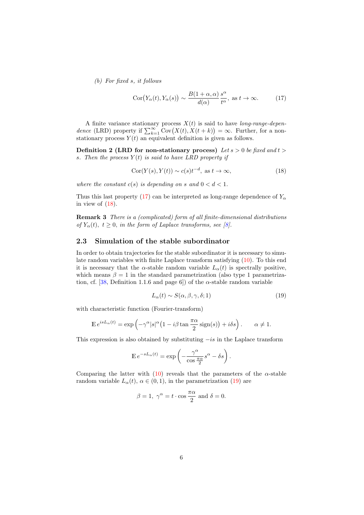(b) For fixed s, it follows

<span id="page-6-0"></span>
$$
Cor(Y_{\alpha}(t), Y_{\alpha}(s)) \sim \frac{B(1+\alpha, \alpha)}{d(\alpha)} \frac{s^{\alpha}}{t^{\alpha}}, \text{ as } t \to \infty.
$$
 (17)

A finite variance stationary process  $X(t)$  is said to have *long-range-depen*dence (LRD) property if  $\sum_{k=1}^{\infty}$  Cov $(X(t), X(t + k)) = \infty$ . Further, for a nonstationary process  $Y(t)$  an equivalent definition is given as follows.

**Definition 2 (LRD for non-stationary process)** Let  $s > 0$  be fixed and  $t >$ s. Then the process  $Y(t)$  is said to have LRD property if

<span id="page-6-3"></span><span id="page-6-1"></span>
$$
Cor(Y(s), Y(t)) \sim c(s)t^{-d}, \text{ as } t \to \infty,
$$
\n(18)

where the constant  $c(s)$  is depending on s and  $0 < d < 1$ .

Thus this last property [\(17\)](#page-6-0) can be interpreted as long-range dependence of  $Y_{\alpha}$ in view of  $(18)$ .

Remark 3 There is a (complicated) form of all finite-dimensional distributions of  $Y_{\alpha}(t)$ ,  $t \geq 0$ , in the form of Laplace transforms, see [\[8\]](#page-22-0).

#### 2.3 Simulation of the stable subordinator

In order to obtain trajectories for the stable subordinator it is necessary to simulate random variables with finite Laplace transform satisfying [\(10\)](#page-4-0). To this end it is necessary that the  $\alpha$ -stable random variable  $L_{\alpha}(t)$  is spectrally positive, which means  $\beta = 1$  in the standard parametrization (also type 1 parametrization, cf.  $[38,$  Definition 1.1.6 and page 6]) of the  $\alpha$ -stable random variable

<span id="page-6-2"></span>
$$
L_{\alpha}(t) \sim S(\alpha, \beta, \gamma, \delta; 1)
$$
\n(19)

with characteristic function (Fourier-transform)

$$
\mathbb{E} e^{isL_{\alpha}(t)} = \exp \left(-\gamma^{\alpha} |s|^{\alpha} \left(1 - i\beta \tan \frac{\pi \alpha}{2} \operatorname{sign}(s)\right) + i\delta s\right). \qquad \alpha \neq 1.
$$

This expression is also obtained by substituting  $-i\sin$  the Laplace transform

$$
\mathbb{E} e^{-sL_{\alpha}(t)} = \exp \left(-\frac{\gamma^{\alpha}}{\cos \frac{\pi \alpha}{2}}s^{\alpha} - \delta s\right).
$$

Comparing the latter with [\(10\)](#page-4-0) reveals that the parameters of the  $\alpha$ -stable random variable  $L_{\alpha}(t)$ ,  $\alpha \in (0,1)$ , in the parametrization [\(19\)](#page-6-2) are

$$
\beta = 1
$$
,  $\gamma^{\alpha} = t \cdot \cos \frac{\pi \alpha}{2}$  and  $\delta = 0$ .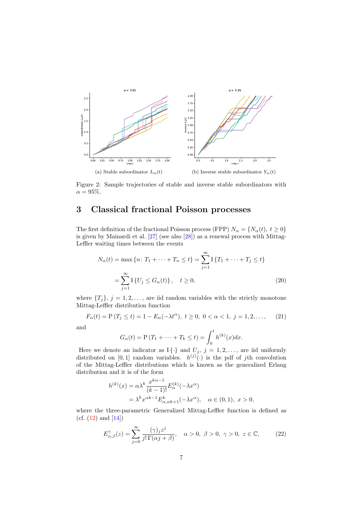<span id="page-7-3"></span>

Figure 2: Sample trajectories of stable and inverse stable subordinators with  $\alpha = 95\%.$ 

# <span id="page-7-0"></span>3 Classical fractional Poisson processes

The first definition of the fractional Poisson process (FPP)  $N_{\alpha} = \{N_{\alpha}(t), t \geq 0\}$ is given by Mainardi et al. [\[27\]](#page-23-6) (see also [\[28\]](#page-24-6)) as a renewal process with Mittag-Leffler waiting times between the events

$$
N_{\alpha}(t) = \max \{ n : T_1 + \dots + T_n \le t \} = \sum_{j=1}^{\infty} I \{ T_1 + \dots + T_j \le t \}
$$
  
= 
$$
\sum_{j=1}^{\infty} I \{ U_j \le G_{\alpha}(t) \}, \quad t \ge 0,
$$
 (20)

where  $\{T_i\}, j = 1, 2, \ldots$ , are iid random variables with the strictly monotone Mittag-Leffler distribution function

<span id="page-7-1"></span>
$$
F_{\alpha}(t) = P(T_j \le t) = 1 - E_{\alpha}(-\lambda t^{\alpha}), \ t \ge 0, \ 0 < \alpha < 1, \ j = 1, 2, \dots, \tag{21}
$$

and

$$
G_{\alpha}(t) = P(T_1 + \dots + T_k \le t) = \int_0^t h^{(k)}(x) dx.
$$

Here we denote an indicator as  $I\{\cdot\}$  and  $U_j$ ,  $j = 1, 2, \ldots$ , are iid uniformly distributed on [0,1] random variables.  $h^{(j)}(\cdot)$  is the pdf of jth convolution of the Mittag-Leffler distributions which is known as the generalized Erlang distribution and it is of the form

$$
h^{(k)}(x) = \alpha \lambda^k \frac{x^{k\alpha - 1}}{(k - 1)!} E_{\alpha}^{(k)}(-\lambda x^{\alpha})
$$
  
=  $\lambda^k x^{\alpha k - 1} E_{\alpha, \alpha k + 1}^k(-\lambda x^{\alpha}), \quad \alpha \in (0, 1), \ x > 0,$ 

where the three-parametric Generalized Mittag-Leffler function is defined as (cf.  $(12)$  and  $[14]$ )

<span id="page-7-2"></span>
$$
E_{\alpha,\beta}^{\gamma}(z) = \sum_{j=0}^{\infty} \frac{(\gamma)_j z^j}{j! \Gamma(\alpha j + \beta)}, \quad \alpha > 0, \ \beta > 0, \ \gamma > 0, \ z \in \mathbb{C}, \tag{22}
$$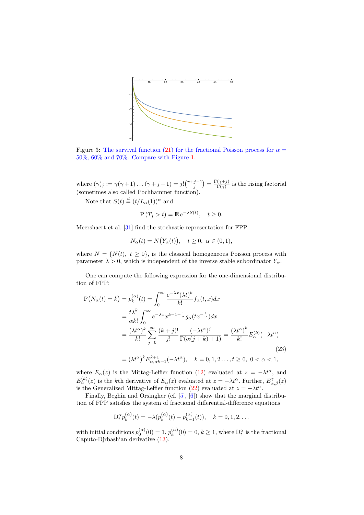

Figure 3: The survival function [\(21\)](#page-7-1) for the fractional Poisson process for  $\alpha =$ 50%, 60% and 70%. Compare with Figure [1.](#page-2-3)

where  $(\gamma)_j := \gamma(\gamma+1)\dots(\gamma+j-1) = j! {\binom{\gamma+j-1}{j}} = \frac{\Gamma(\gamma+j)}{\Gamma(\gamma)}$  $\frac{(\gamma + j)}{\Gamma(\gamma)}$  is the rising factorial (sometimes also called Pochhammer function).

Note that  $S(t) \stackrel{d}{=} (t/L_\alpha(1))^\alpha$  and

$$
P(T_j > t) = \mathbb{E} e^{-\lambda S(t)}, \quad t \ge 0.
$$

Meershaert et al. [\[31\]](#page-24-7) find the stochastic representation for FPP

$$
N_{\alpha}(t) = N(Y_{\alpha}(t)), \quad t \ge 0, \ \alpha \in (0,1),
$$

where  $N = \{N(t), t \geq 0\}$ , is the classical homogeneous Poisson process with parameter  $\lambda > 0$ , which is independent of the inverse stable subordinator  $Y_\alpha$ .

One can compute the following expression for the one-dimensional distribution of FPP:

$$
P(N_{\alpha}(t) = k) = p_k^{(\alpha)}(t) = \int_0^{\infty} \frac{e^{-\lambda x} (\lambda t)^k}{k!} f_{\alpha}(t, x) dx
$$
  
\n
$$
= \frac{t \lambda^k}{\alpha k!} \int_0^{\infty} e^{-\lambda x} x^{k-1-\frac{1}{\alpha}} g_{\alpha}(tx^{-\frac{1}{\alpha}}) dx
$$
  
\n
$$
= \frac{(\lambda t^{\alpha})^k}{k!} \sum_{j=0}^{\infty} \frac{(k+j)!}{j!} \frac{(-\lambda t^{\alpha})^j}{\Gamma(\alpha(j+k)+1)} = \frac{(\lambda t^{\alpha})^k}{k!} E_{\alpha}^{(k)}(-\lambda t^{\alpha})
$$
  
\n
$$
= (\lambda t^{\alpha})^k E_{\alpha, \alpha k+1}^{k+1}(-\lambda t^{\alpha}), \quad k = 0, 1, 2, ..., t \ge 0, 0 < \alpha < 1,
$$
  
\n(23)

where  $E_{\alpha}(z)$  is the Mittag-Leffler function [\(12\)](#page-4-1) evaluated at  $z = -\lambda t^{\alpha}$ , and  $E_{\alpha}^{(k)}(z)$  is the kth derivative of  $E_{\alpha}(z)$  evaluated at  $z = -\lambda t^{\alpha}$ . Further,  $E_{\alpha,\beta}^{\gamma}(z)$ is the Generalized Mittag-Leffler function [\(22\)](#page-7-2) evaluated at  $z = -\lambda t^{\alpha}$ .

Finally, Beghin and Orsingher (cf. [\[5\]](#page-22-1), [\[6\]](#page-22-2)) show that the marginal distribution of FPP satisfies the system of fractional differential-difference equations

<span id="page-8-0"></span>
$$
D_t^{\alpha} p_k^{(\alpha)}(t) = -\lambda (p_k^{(\alpha)}(t) - p_{k-1}^{(\alpha)}(t)), \quad k = 0, 1, 2, \dots
$$

with initial conditions  $p_0^{(\alpha)}(0) = 1, p_k^{(\alpha)}$  $k_{k}^{(\alpha)}(0) = 0, k \geq 1$ , where  $D_t^{\alpha}$  is the fractional Caputo-Djrbashian derivative [\(13\)](#page-5-0).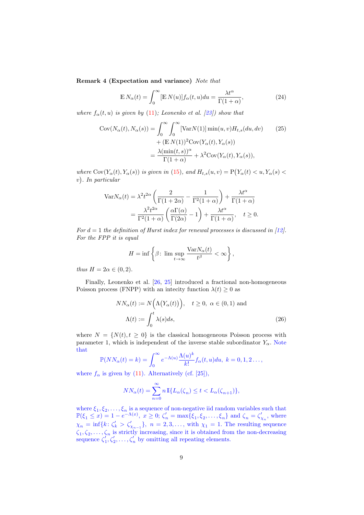Remark 4 (Expectation and variance) Note that

<span id="page-9-0"></span>
$$
\mathbb{E} N_{\alpha}(t) = \int_0^{\infty} [\mathbb{E} N(u)] f_{\alpha}(t, u) du = \frac{\lambda t^{\alpha}}{\Gamma(1 + \alpha)},
$$
\n(24)

where  $f_{\alpha}(t, u)$  is given by [\(11\)](#page-4-2); Leonenko et al. [\[23\]](#page-23-7)) show that

$$
Cov(N_{\alpha}(t), N_{\alpha}(s)) = \int_0^{\infty} \int_0^{\infty} [VarN(1)] \min(u, v) H_{t,s}(du, dv) \qquad (25)
$$

$$
+ (E N(1))^2 Cov(Y_{\alpha}(t), Y_{\alpha}(s))
$$

$$
= \frac{\lambda(\min(t, s))^{\alpha}}{\Gamma(1 + \alpha)} + \lambda^2 Cov(Y_{\alpha}(t), Y_{\alpha}(s)),
$$

where  $Cov(Y_\alpha(t), Y_\alpha(s))$  is given in [\(15\)](#page-5-1), and  $H_{t,s}(u, v) = P(Y_\alpha(t) < u, Y_\alpha(s) < u)$ v . In particular

$$
\begin{split} \text{Var} N_{\alpha}(t) &= \lambda^2 t^{2\alpha} \left( \frac{2}{\Gamma(1+2\alpha)} - \frac{1}{\Gamma^2(1+\alpha)} \right) + \frac{\lambda t^{\alpha}}{\Gamma(1+\alpha)} \\ &= \frac{\lambda^2 t^{2\alpha}}{\Gamma^2(1+\alpha)} \left( \frac{\alpha \Gamma(\alpha)}{\Gamma(2\alpha)} - 1 \right) + \frac{\lambda t^{\alpha}}{\Gamma(1+\alpha)}, \quad t \ge 0. \end{split}
$$

For  $d = 1$  the definition of Hurst index for renewal processes is discussed in [\[12\]](#page-23-8). For the FPP it is equal

$$
H = \inf \left\{ \beta \colon \limsup_{t \to \infty} \frac{\text{Var} N_{\alpha}(t)}{t^{\beta}} < \infty \right\},\
$$

thus  $H = 2\alpha \in (0, 2)$ .

Finally, Leonenko et al. [\[26,](#page-23-9) [25\]](#page-23-10) introduced a fractional non-homogeneous Poisson process (FNPP) with an intecity function  $\lambda(t) \geq 0$  as

$$
NN_{\alpha}(t) := N(\Lambda(Y_{\alpha}(t))), \quad t \ge 0, \ \alpha \in (0,1) \text{ and}
$$

$$
\Lambda(t) := \int_0^t \lambda(s)ds,
$$
 (26)

where  $N = \{N(t), t \geq 0\}$  is the classical homogeneous Poisson process with parameter 1, which is independent of the inverse stable subordinator  $Y_{\alpha}$ . Note that

$$
\mathbb{P}(NN_{\alpha}(t)=k)=\int_0^{\infty}e^{-\Lambda(u)}\frac{\Lambda(u)^k}{k!}f_{\alpha}(t,u)du, k=0,1,2\ldots,
$$

where  $f_{\alpha}$  is given by [\(11\)](#page-4-2). Alternatively (cf. [\[25\]](#page-23-10)),

$$
NN_{\alpha}(t) = \sum_{n=0}^{\infty} n \, \mathbb{I} \{ L_{\alpha}(\zeta_n) \le t < L_{\alpha}(\zeta_{n+1}) \},
$$

where  $\xi_1, \xi_2, \ldots, \xi_n$  is a sequence of non-negative iid random variables such that  $\mathbb{P}(\xi_1 \leq x) = 1 - e^{-\Lambda(x)}, \ x \geq 0; \ \zeta_n' = \max{\{\xi_1, \xi_2, \ldots, \xi_n\}} \text{ and } \zeta_n = \zeta_{\chi_n}', \text{ where}$  $\chi_n = \inf\{k : \zeta_k' > \zeta_{\chi_{n-1}}'\},\ n = 2, 3, \ldots,$  with  $\chi_1 = 1$ . The resulting sequence  $\zeta_1, \zeta_2, \ldots, \zeta_n$  is strictly increasing, since it is obtained from the non-decreasing sequence  $\zeta_1, \zeta_2', \ldots, \zeta_n'$  by omitting all repeating elements.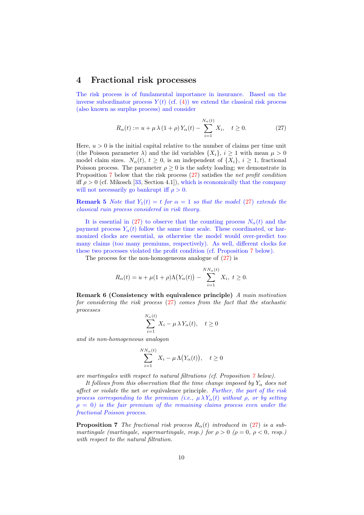## <span id="page-10-0"></span>4 Fractional risk processes

The risk process is of fundamental importance in insurance. Based on the inverse subordinator process  $Y(t)$  (cf. [\(4\)](#page-3-1)) we extend the classical risk process (also known as surplus process) and consider

<span id="page-10-2"></span>
$$
R_{\alpha}(t) := u + \mu \lambda (1 + \rho) Y_{\alpha}(t) - \sum_{i=1}^{N_{\alpha}(t)} X_i, \quad t \ge 0.
$$
 (27)

Here,  $u > 0$  is the initial capital relative to the number of claims per time unit (the Poisson parameter  $\lambda$ ) and the iid variables  $\{X_i\}, i \geq 1$  with mean  $\mu > 0$ model claim sizes.  $N_{\alpha}(t), t \geq 0$ , is an independent of  $\{X_i\}, i \geq 1$ , fractional Poisson process. The parameter  $\rho \geq 0$  is the safety loading; we demonstrate in Proposition [7](#page-10-1) below that the risk process  $(27)$  satisfies the net profit condition iff  $\rho > 0$  (cf. Mikosch [\[33,](#page-24-8) Section 4.1]), which is economically that the company will not necessarily go bankrupt iff  $\rho > 0$ .

<span id="page-10-3"></span>**Remark 5** Note that  $Y_1(t) = t$  for  $\alpha = 1$  so that the model [\(27\)](#page-10-2) extends the classical ruin process considered in risk theory.

It is essential in [\(27\)](#page-10-2) to observe that the counting process  $N_{\alpha}(t)$  and the payment process  $Y_\alpha(t)$  follow the same time scale. These coordinated, or harmonized clocks are essential, as otherwise the model would over-predict too many claims (too many premiums, respectively). As well, different clocks for these two processes violated the profit condition (cf. Proposition [7](#page-10-1) below).

The process for the non-homogeneous analogue of [\(27\)](#page-10-2) is

$$
R_{\alpha}(t) = u + \mu(1+\rho)\Lambda(Y_{\alpha}(t)) - \sum_{i=1}^{NN_{\alpha}(t)} X_i, \ t \ge 0.
$$

Remark 6 (Consistency with equivalence principle) A main motivation for considering the risk process  $(27)$  comes from the fact that the stochastic processes

$$
\sum_{i=1}^{N_{\alpha}(t)} X_i - \mu \lambda Y_{\alpha}(t), \quad t \ge 0
$$

and its non-homogeneous analogon

$$
\sum_{i=1}^{NN_{\alpha}(t)} X_i - \mu \Lambda(Y_{\alpha}(t)), \quad t \ge 0
$$

are martingales with respect to natural filtrations (cf. Proposition [7](#page-10-1) below).

It follows from this observation that the time change imposed by  $Y_\alpha$  does not affect or violate the net or equivalence principle. Further, the part of the risk process corresponding to the premium (i.e.,  $\mu \lambda Y_{\alpha}(t)$  without  $\rho$ , or by setting  $\rho = 0$ ) is the fair premium of the remaining claims process even under the fractional Poisson process.

<span id="page-10-1"></span>**Proposition 7** The fractional risk process  $R_{\alpha}(t)$  introduced in [\(27\)](#page-10-2) is a submartingale (martingale, supermartingale, resp.) for  $\rho > 0$  ( $\rho = 0$ ,  $\rho < 0$ , resp.) with respect to the natural filtration.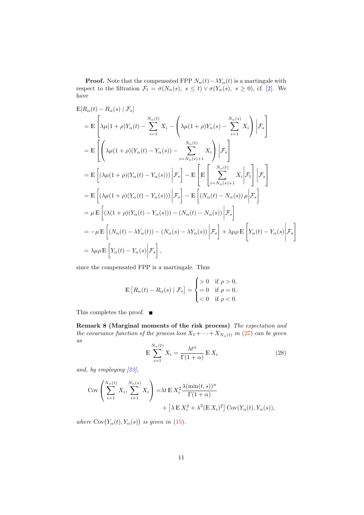**Proof.** Note that the compensated FPP  $N_{\alpha}(t) - \lambda Y_{\alpha}(t)$  is a martingale with respect to the filtration  $\mathcal{F}_t = \sigma(N_\alpha(s), s \le t) \vee \sigma(Y_\alpha(s), s \ge 0)$ , cf. [\[2\]](#page-22-3). We have

$$
\mathbb{E}[R_{\alpha}(t) - R_{\alpha}(s) | \mathcal{F}_{s}]
$$
\n
$$
= \mathbb{E}\left[\lambda\mu(1+\rho)Y_{\alpha}(t) - \sum_{i=1}^{N_{\alpha}(t)} X_{i} - \left(\lambda\mu(1+\rho)Y_{\alpha}(s) - \sum_{i=1}^{N_{\alpha}(s)} X_{i}\right) | \mathcal{F}_{s}\right]
$$
\n
$$
= \mathbb{E}\left[\left(\lambda\mu(1+\rho)(Y_{\alpha}(t) - Y_{\alpha}(s)) - \sum_{i=N_{\alpha}(s)+1}^{N_{\alpha}(t)} X_{i}\right) | \mathcal{F}_{s}\right]
$$
\n
$$
= \mathbb{E}\left[(\lambda\mu(1+\rho)(Y_{\alpha}(t) - Y_{\alpha}(s))) | \mathcal{F}_{s}\right] - \mathbb{E}\left[\mathbb{E}\left[\sum_{i=N_{\alpha}(s)+1}^{N_{\alpha}(t)} X_{i} | \mathcal{F}_{t}\right] | \mathcal{F}_{s}\right]
$$
\n
$$
= \mathbb{E}\left[(\lambda\mu(1+\rho)(Y_{\alpha}(t) - Y_{\alpha}(s))) | \mathcal{F}_{s}\right] - \mathbb{E}\left[(N_{\alpha}(t) - N_{\alpha}(s))\mu | \mathcal{F}_{s}\right]
$$
\n
$$
= \mu \mathbb{E}\left[(\lambda(1+\rho)(Y_{\alpha}(t) - Y_{\alpha}(s))) - (N_{\alpha}(t) - N_{\alpha}(s)) | \mathcal{F}_{s}\right]
$$
\n
$$
= -\mu \mathbb{E}\left[(N_{\alpha}(t) - \lambda Y_{\alpha}(t)) - (N_{\alpha}(s) - \lambda Y_{\alpha}(s)) | \mathcal{F}_{s}\right] + \lambda\mu\rho \mathbb{E}\left[Y_{\alpha}(t) - Y_{\alpha}(s)| \mathcal{F}_{s}\right]
$$
\n
$$
= \lambda\mu\rho \mathbb{E}\left[Y_{\alpha}(t) - Y_{\alpha}(s)| \mathcal{F}_{s}\right],
$$

since the compensated FPP is a martingale. Thus

$$
\mathbb{E}\left[R_{\alpha}(t) - R_{\alpha}(s) \mid \mathcal{F}_s\right] = \begin{cases} > 0 & \text{if } \rho > 0, \\ = 0 & \text{if } \rho = 0, \\ < 0 & \text{if } \rho < 0. \end{cases}
$$

This completes the proof.  $\blacksquare$ 

Remark 8 (Marginal moments of the risk process) The expectation and the covariance function of the process loss  $X_1 + \cdots + X_{N_{\alpha}(t)}$  in [\(27\)](#page-10-2) can be given as

$$
\mathbb{E}\sum_{i=1}^{N_{\alpha}(t)} X_i = \frac{\lambda t^{\alpha}}{\Gamma(1+\alpha)} \mathbb{E} X_i
$$
\n(28)

and, by employing [\[23\]](#page-23-7),

$$
\begin{split} \text{Cov} \left( \sum_{i=1}^{N_{\alpha}(t)} X_i, \sum_{i=1}^{N_{\alpha}(s)} X_i \right) &= \lambda t \, \mathbb{E} \, X_i^2 \frac{\lambda(\min(t, s))^{\alpha}}{\Gamma(1 + \alpha)} \\ &+ \left[ \lambda \, \mathbb{E} \, X_i^2 + \lambda^2 (\mathbb{E} \, X_i)^2 \right] \text{Cov}(Y_{\alpha}(t), Y_{\alpha}(s)), \end{split}
$$

where  $Cov(Y_\alpha(t), Y_\alpha(s))$  is given in [\(15\)](#page-5-1).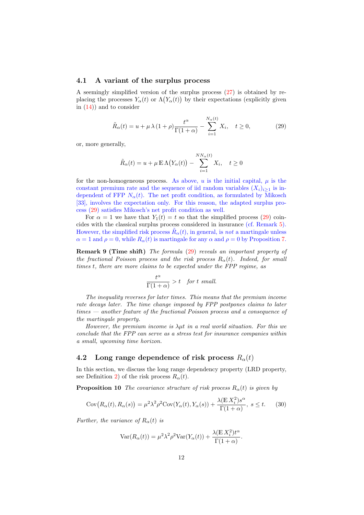#### 4.1 A variant of the surplus process

A seemingly simplified version of the surplus process [\(27\)](#page-10-2) is obtained by replacing the processes  $Y_{\alpha}(t)$  or  $\Lambda(Y_{\alpha}(t))$  by their expectations (explicitly given in  $(14)$  and to consider

<span id="page-12-0"></span>
$$
\tilde{R}_{\alpha}(t) = u + \mu \lambda (1 + \rho) \frac{t^{\alpha}}{\Gamma(1 + \alpha)} - \sum_{i=1}^{N_{\alpha}(t)} X_i, \quad t \ge 0,
$$
\n(29)

or, more generally,

$$
\tilde{R}_{\alpha}(t) = u + \mu \mathbb{E} \Lambda(Y_{\alpha}(t)) - \sum_{i=1}^{NN_{\alpha}(t)} X_i, \quad t \ge 0
$$

for the non-homogeneous process. As above, u is the initial capital,  $\mu$  is the constant premium rate and the sequence of iid random variables  $(X_i)_{i\geq 1}$  is independent of FFP  $N_{\alpha}(t)$ . The net profit condition, as formulated by Mikosch [\[33\]](#page-24-8), involves the expectation only. For this reason, the adapted surplus process [\(29\)](#page-12-0) satisfies Mikosch's net profit condition as well.

For  $\alpha = 1$  we have that  $Y_1(t) = t$  so that the simplified process [\(29\)](#page-12-0) coincides with the classical surplus process considered in insurance (cf. Remark [5\)](#page-10-3). However, the simplified risk process  $\tilde{R}_{\alpha}(t)$ , in general, is *not* a martingale unless  $\alpha = 1$  and  $\rho = 0$ , while  $R_{\alpha}(t)$  is martingale for any  $\alpha$  and  $\rho = 0$  by Proposition [7.](#page-10-1)

<span id="page-12-3"></span>Remark 9 (Time shift) The formula [\(29\)](#page-12-0) reveals an important property of the fractional Poisson process and the risk process  $R_{\alpha}(t)$ . Indeed, for small times t, there are more claims to be expected under the FPP regime, as

$$
\frac{t^{\alpha}}{\Gamma(1+\alpha)} > t \quad \text{for } t \text{ small.}
$$

The inequality reverses for later times. This means that the premium income rate decays later. The time change imposed by FPP postpones claims to later times — another feature of the fractional Poisson process and a consequence of the martingale property.

However, the premium income is  $\lambda \mu t$  in a real world situation. For this we conclude that the FPP can serve as a stress test for insurance companies within a small, upcoming time horizon.

## <span id="page-12-2"></span>4.2 Long range dependence of risk process  $R_{\alpha}(t)$

In this section, we discuss the long range dependency property (LRD property, see Definition [2\)](#page-6-3) of the risk process  $R_{\alpha}(t)$ .

**Proposition 10** The covariance structure of risk process  $R<sub>o</sub>(t)$  is given by

<span id="page-12-1"></span>
$$
Cov(R_{\alpha}(t), R_{\alpha}(s)) = \mu^{2} \lambda^{2} \rho^{2} Cov(Y_{\alpha}(t), Y_{\alpha}(s)) + \frac{\lambda(\mathbb{E} X_{i}^{2}) s^{\alpha}}{\Gamma(1+\alpha)}, \ s \leq t. \tag{30}
$$

Further, the variance of  $R_{\alpha}(t)$  is

$$
Var(R_{\alpha}(t)) = \mu^{2} \lambda^{2} \rho^{2} Var(Y_{\alpha}(t)) + \frac{\lambda (E X_{i}^{2}) t^{\alpha}}{\Gamma(1+\alpha)}.
$$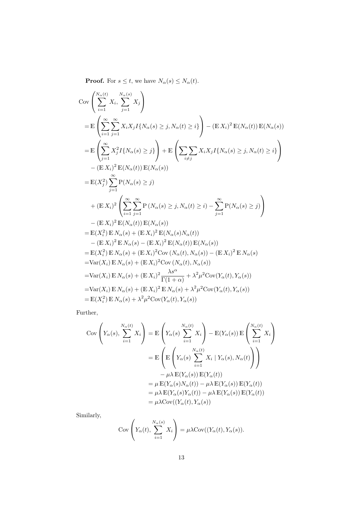**Proof.** For  $s \le t$ , we have  $N_{\alpha}(s) \le N_{\alpha}(t)$ .

$$
Cov\left(\sum_{i=1}^{N_{\alpha}(t)} X_i, \sum_{j=1}^{N_{\alpha}(s)} X_j\right)
$$
  
\n
$$
= \mathbb{E}\left(\sum_{i=1}^{\infty} \sum_{j=1}^{\infty} X_i X_j I\{N_{\alpha}(s) \ge j, N_{\alpha}(t) \ge i\}\right) - (\mathbb{E} X_i)^2 \mathbb{E}(N_{\alpha}(t)) \mathbb{E}(N_{\alpha}(s))
$$
  
\n
$$
= \mathbb{E}\left(\sum_{j=1}^{\infty} X_j^2 I\{N_{\alpha}(s) \ge j\}\right) + \mathbb{E}\left(\sum_{i \ne j} X_i X_j I\{N_{\alpha}(s) \ge j, N_{\alpha}(t) \ge i\}\right)
$$
  
\n
$$
- (\mathbb{E} X_i)^2 \mathbb{E}(N_{\alpha}(t)) \mathbb{E}(N_{\alpha}(s))
$$
  
\n
$$
= \mathbb{E}(X_j^2) \sum_{j=1}^{\infty} P(N_{\alpha}(s) \ge j)
$$
  
\n
$$
+ (\mathbb{E} X_i)^2 \left(\sum_{i=1}^{\infty} \sum_{j=1}^{\infty} P(N_{\alpha}(s) \ge j, N_{\alpha}(t) \ge i) - \sum_{j=1}^{\infty} P(N_{\alpha}(s) \ge j)\right)
$$
  
\n
$$
- (\mathbb{E} X_i)^2 \mathbb{E}(N_{\alpha}(t)) \mathbb{E}(N_{\alpha}(s))
$$
  
\n
$$
= \mathbb{E}(X_i^2) \mathbb{E} N_{\alpha}(s) + (\mathbb{E} X_i)^2 \mathbb{E}(N_{\alpha}(t)) \mathbb{E}(N_{\alpha}(s))
$$
  
\n
$$
= \mathbb{E}(X_i^2) \mathbb{E} N_{\alpha}(s) + (\mathbb{E} X_i)^2 \mathbb{E}(N_{\alpha}(t)) \mathbb{E}(N_{\alpha}(s))
$$
  
\n
$$
= \mathbb{E}(X_i^2) \mathbb{E} N_{\alpha}(s) + (\mathbb{E} X_i)^2 \mathbb{C}ov}(N_{\alpha}(t), N_{\alpha}(s)) - (\mathbb{E} X_i)^2 \mathbb{E} N_{\alpha}(s)
$$
  
\n
$$
= \text{Var}(X_i)
$$

Further,

$$
Cov\left(Y_{\alpha}(s), \sum_{i=1}^{N_{\alpha}(t)} X_i\right) = \mathbb{E}\left(Y_{\alpha}(s) \sum_{i=1}^{N_{\alpha}(t)} X_i\right) - \mathbb{E}(Y_{\alpha}(s)) \mathbb{E}\left(\sum_{i=1}^{N_{\alpha}(t)} X_i\right)
$$

$$
= \mathbb{E}\left(\mathbb{E}\left(Y_{\alpha}(s) \sum_{i=1}^{N_{\alpha}(t)} X_i | Y_{\alpha}(s), N_{\alpha}(t)\right)\right)
$$

$$
- \mu \lambda \mathbb{E}(Y_{\alpha}(s)) \mathbb{E}(Y_{\alpha}(t))
$$

$$
= \mu \mathbb{E}(Y_{\alpha}(s)N_{\alpha}(t)) - \mu \lambda \mathbb{E}(Y_{\alpha}(s)) \mathbb{E}(Y_{\alpha}(t))
$$

$$
= \mu \lambda \mathbb{E}(Y_{\alpha}(s)Y_{\alpha}(t)) - \mu \lambda \mathbb{E}(Y_{\alpha}(s)) \mathbb{E}(Y_{\alpha}(t))
$$

$$
= \mu \lambda \text{Cov}((Y_{\alpha}(t), Y_{\alpha}(s))
$$

Similarly,

$$
Cov\left(Y_{\alpha}(t), \sum_{i=1}^{N_{\alpha}(s)} X_i\right) = \mu \lambda Cov((Y_{\alpha}(t), Y_{\alpha}(s))).
$$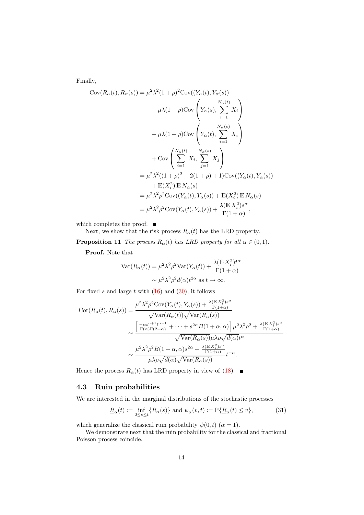Finally,

$$
Cov(R_{\alpha}(t), R_{\alpha}(s)) = \mu^{2} \lambda^{2} (1+\rho)^{2} Cov((Y_{\alpha}(t), Y_{\alpha}(s)))
$$
  
\n
$$
- \mu \lambda (1+\rho) Cov\left(Y_{\alpha}(s), \sum_{i=1}^{N_{\alpha}(t)} X_{i}\right)
$$
  
\n
$$
- \mu \lambda (1+\rho) Cov\left(Y_{\alpha}(t), \sum_{i=1}^{N_{\alpha}(s)} X_{i}\right)
$$
  
\n
$$
+ Cov\left(\sum_{i=1}^{N_{\alpha}(t)} X_{i}, \sum_{j=1}^{N_{\alpha}(s)} X_{j}\right)
$$
  
\n
$$
= \mu^{2} \lambda^{2} ((1+\rho)^{2} - 2(1+\rho) + 1) Cov((Y_{\alpha}(t), Y_{\alpha}(s)))
$$
  
\n
$$
+ \mathbb{E}(X_{i}^{2}) \mathbb{E} N_{\alpha}(s)
$$
  
\n
$$
= \mu^{2} \lambda^{2} \rho^{2} Cov((Y_{\alpha}(t), Y_{\alpha}(s)) + \mathbb{E}(X_{i}^{2}) \mathbb{E} N_{\alpha}(s))
$$
  
\n
$$
= \mu^{2} \lambda^{2} \rho^{2} Cov(Y_{\alpha}(t), Y_{\alpha}(s)) + \frac{\lambda(\mathbb{E} X_{i}^{2}) s^{\alpha}}{\Gamma(1+\alpha)},
$$

which completes the proof.  $\blacksquare$ 

Next, we show that the risk process  $R_{\alpha}(t)$  has the LRD property.

**Proposition 11** The process  $R_{\alpha}(t)$  has LRD property for all  $\alpha \in (0, 1)$ .

Proof. Note that

$$
\operatorname{Var}(R_{\alpha}(t)) = \mu^{2} \lambda^{2} \rho^{2} \operatorname{Var}(Y_{\alpha}(t)) + \frac{\lambda(\mathbb{E} X_{i}^{2}) t^{\alpha}}{\Gamma(1+\alpha)}
$$

$$
\sim \mu^{2} \lambda^{2} \rho^{2} d(\alpha) t^{2\alpha} \text{ as } t \to \infty.
$$

For fixed s and large t with  $(16)$  and  $(30)$ , it follows

$$
Cor(R_{\alpha}(t), R_{\alpha}(s)) = \frac{\mu^{2} \lambda^{2} \rho^{2} Cov(Y_{\alpha}(t), Y_{\alpha}(s)) + \frac{\lambda (E X_{i}^{2}) s^{\alpha}}{\Gamma(1+\alpha)}}{\sqrt{Var(R_{\alpha}(t))} \sqrt{Var(R_{\alpha}(s))}}
$$

$$
\sim \frac{\left[\frac{-\alpha s^{\alpha+1} t^{\alpha-1}}{\Gamma(\alpha)\Gamma(2+\alpha)} + \dots + s^{2\alpha} B(1+\alpha, \alpha)\right] \mu^{2} \lambda^{2} \rho^{2} + \frac{\lambda (E X_{i}^{2}) s^{\alpha}}{\Gamma(1+\alpha)}}{\sqrt{Var(R_{\alpha}(s))} \mu \lambda \rho \sqrt{d(\alpha)} t^{\alpha}}
$$

$$
\sim \frac{\mu^{2} \lambda^{2} \rho^{2} B(1+\alpha, \alpha) s^{2\alpha} + \frac{\lambda (E X_{i}^{2}) s^{\alpha}}{\Gamma(1+\alpha)}}{ \mu \lambda \rho \sqrt{d(\alpha)} \sqrt{Var(R_{\alpha}(s))}} t^{-\alpha}.
$$

Hence the process  $R_{\alpha}(t)$  has LRD property in view of [\(18\)](#page-6-1).

## 4.3 Ruin probabilities

We are interested in the marginal distributions of the stochastic processes

<span id="page-14-1"></span>
$$
\underline{R}_{\alpha}(t) := \inf_{0 \le s \le t} \{ R_{\alpha}(s) \} \text{ and } \psi_{\alpha}(v,t) := \mathcal{P} \{ \underline{R}_{\alpha}(t) \le v \},\tag{31}
$$

which generalize the classical ruin probability  $\psi(0, t)$  ( $\alpha = 1$ ).

<span id="page-14-0"></span>We demonstrate next that the ruin probability for the classical and fractional Poisson process coincide.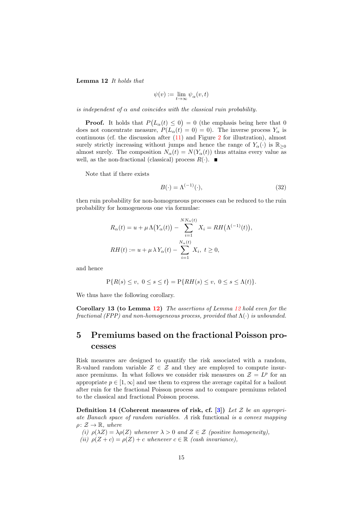Lemma 12 It holds that

$$
\psi(v) := \lim_{t \to \infty} \psi_{\alpha}(v, t)
$$

is independent of  $\alpha$  and coincides with the classical ruin probability.

**Proof.** It holds that  $P(L_\alpha(t) \leq 0) = 0$  (the emphasis being here that 0 does not concentrate measure,  $P(L_\alpha(t) = 0) = 0$ . The inverse process  $Y_\alpha$  is continuous (cf. the discussion after  $(11)$  and Figure [2](#page-7-3) for illustration), almost surely strictly increasing without jumps and hence the range of  $Y_{\alpha}(\cdot)$  is  $\mathbb{R}_{\geq 0}$ almost surely. The composition  $N_{\alpha}(t) = N(Y_{\alpha}(t))$  thus attains every value as well, as the non-fractional (classical) process  $R(\cdot)$ .

Note that if there exists

$$
B(\cdot) = \Lambda^{(-1)}(\cdot),\tag{32}
$$

then ruin probability for non-homogeneous processes can be reduced to the ruin probability for homogeneous one via formulae:

$$
R_{\alpha}(t) = u + \mu \Lambda(Y_{\alpha}(t)) - \sum_{i=1}^{NN_{\alpha}(t)} X_i = RH(\Lambda^{(-1)}(t)),
$$
  
\n
$$
RH(t) := u + \mu \lambda Y_{\alpha}(t) - \sum_{i=1}^{N_{\alpha}(t)} X_i, t \ge 0,
$$

and hence

$$
P\{R(s) \le v, \ 0 \le s \le t\} = P\{RH(s) \le v, \ 0 \le s \le \Lambda(t)\}.
$$

<span id="page-15-2"></span>We thus have the following corollary.

Corollary 13 (to Lemma [12\)](#page-14-0) The assertions of Lemma [12](#page-14-0) hold even for the fractional (FPP) and non-homogeneous process, provided that  $\Lambda(\cdot)$  is unbounded.

# <span id="page-15-0"></span>5 Premiums based on the fractional Poisson processes

Risk measures are designed to quantify the risk associated with a random, R-valued random variable  $Z \in \mathcal{Z}$  and they are employed to compute insurance premiums. In what follows we consider risk measures on  $\mathcal{Z} = L^p$  for an appropriate  $p \in [1,\infty]$  and use them to express the average capital for a bailout after ruin for the fractional Poisson process and to compare premiums related to the classical and fractional Poisson process.

<span id="page-15-3"></span>Definition 14 (Coherent measures of risk, cf. [\[3\]](#page-22-4)) Let  $\mathcal Z$  be an appropriate Banach space of random variables. A risk functional is a convex mapping  $\rho \colon \mathcal{Z} \to \mathbb{R}, \text{ where}$ 

<span id="page-15-1"></span>(i)  $\rho(\lambda Z) = \lambda \rho(Z)$  whenever  $\lambda > 0$  and  $Z \in \mathcal{Z}$  (positive homogeneity), (ii)  $\rho(Z+c) = \rho(Z) + c$  whenever  $c \in \mathbb{R}$  (cash invariance),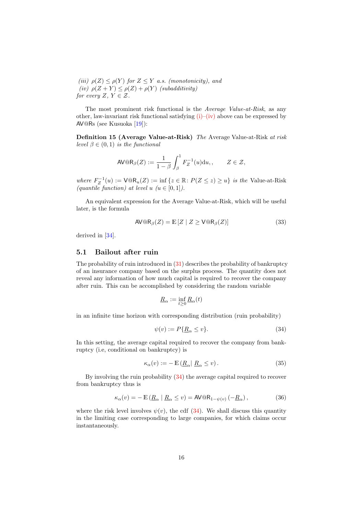<span id="page-16-0"></span>(iii)  $\rho(Z) \leq \rho(Y)$  for  $Z \leq Y$  a.s. (monotonicity), and (iv)  $\rho(Z+Y) \leq \rho(Z) + \rho(Y)$  (subadditivity) for every  $Z, Y \in \mathcal{Z}$ .

The most prominent risk functional is the Average Value-at-Risk, as any other, law-invariant risk functional satisfying  $(i)$ – $(iv)$  above can be expressed by AV@Rs (see Kusuoka [\[19\]](#page-23-11)):

Definition 15 (Average Value-at-Risk) The Average Value-at-Risk at risk level  $\beta \in (0,1)$  is the functional

$$
\mathsf{AV@R}_{\beta}(Z) := \frac{1}{1-\beta} \int_{\beta}^{1} F_Z^{-1}(u) \mathrm{d}u, \qquad Z \in \mathcal{Z},
$$

where  $F_Z^{-1}(u) := \text{VaR}_u(Z) := \inf \{ z \in \mathbb{R} : P(Z \leq z) \geq u \}$  is the Value-at-Risk (quantile function) at level  $u \ (u \in [0,1])$ .

An equivalent expression for the Average Value-at-Risk, which will be useful later, is the formula

$$
AV@R_{\beta}(Z) = \mathbb{E}\left[Z \mid Z \ge V@R_{\beta}(Z)\right]
$$
\n(33)

derived in [\[34\]](#page-24-9).

## 5.1 Bailout after ruin

The probability of ruin introduced in [\(31\)](#page-14-1) describes the probability of bankruptcy of an insurance company based on the surplus process. The quantity does not reveal any information of how much capital is required to recover the company after ruin. This can be accomplished by considering the random variable

$$
\underline{R}_\alpha:=\inf_{t\geq 0}\underline{R}_\alpha(t)
$$

in an infinite time horizon with corresponding distribution (ruin probability)

<span id="page-16-1"></span>
$$
\psi(v) := P\{\underline{R}_{\alpha} \le v\}.\tag{34}
$$

In this setting, the average capital required to recover the company from bankruptcy (i.e, conditional on bankruptcy) is

<span id="page-16-2"></span>
$$
\kappa_{\alpha}(v) := - \mathbb{E}\left(\underline{R}_{\alpha} \mid \underline{R}_{\alpha} \le v\right). \tag{35}
$$

By involving the ruin probability [\(34\)](#page-16-1) the average capital required to recover from bankruptcy thus is

<span id="page-16-3"></span>
$$
\kappa_{\alpha}(v) = -\mathbb{E}\left(\underline{R}_{\alpha} \mid \underline{R}_{\alpha} \le v\right) = \mathsf{AV@R}_{1-\psi(v)}\left(-\underline{R}_{\alpha}\right),\tag{36}
$$

where the risk level involves  $\psi(v)$ , the cdf [\(34\)](#page-16-1). We shall discuss this quantity in the limiting case corresponding to large companies, for which claims occur instantaneously.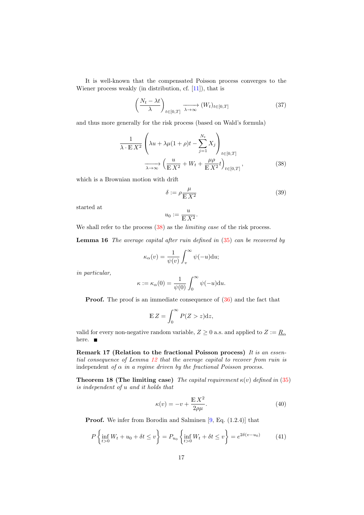It is well-known that the compensated Poisson process converges to the Wiener process weakly (in distribution, cf. [\[11\]](#page-23-12)), that is

$$
\left(\frac{N_t - \lambda t}{\lambda}\right)_{t \in [0,T]} \xrightarrow[\lambda \to \infty]{} (W_t)_{t \in [0,T]} \tag{37}
$$

and thus more generally for the risk process (based on Wald's formula)

$$
\frac{1}{\lambda \cdot \mathbb{E} X^2} \left( \lambda u + \lambda \mu (1 + \rho) t - \sum_{j=1}^{N_t} X_j \right)_{t \in [0, T]}
$$
\n
$$
\xrightarrow[\lambda \to \infty]{} \left( \frac{u}{\mathbb{E} X^2} + W_t + \frac{\mu \rho}{\mathbb{E} X^2} t \right)_{t \in [0, T]},
$$
\n(38)

which is a Brownian motion with drift

<span id="page-17-2"></span><span id="page-17-0"></span>
$$
\delta := \rho \frac{\mu}{\mathbb{E} X^2} \tag{39}
$$

started at

$$
u_0 := \frac{u}{\mathbb{E} X^2}.
$$

<span id="page-17-1"></span>We shall refer to the process  $(38)$  as the *limiting case* of the risk process.

**Lemma 16** The average capital after ruin defined in  $(35)$  can be recovered by

$$
\kappa_{\alpha}(v) = \frac{1}{\psi(v)} \int_{v}^{\infty} \psi(-u) \mathrm{d}u;
$$

in particular,

$$
\kappa := \kappa_{\alpha}(0) = \frac{1}{\psi(0)} \int_0^{\infty} \psi(-u) \mathrm{d}u.
$$

**Proof.** The proof is an immediate consequence of  $(36)$  and the fact that

$$
\mathbb{E}\,Z = \int_0^\infty P(Z > z) \mathrm{d}z,
$$

valid for every non-negative random variable,  $Z \geq 0$  a.s. and applied to  $Z := \underline{R}_{\alpha}$ here.  $\blacksquare$ 

Remark 17 (Relation to the fractional Poisson process) It is an essential consequence of Lemma [12](#page-14-0) that the average capital to recover from ruin is independent of  $\alpha$  in a regime driven by the fractional Poisson process.

**Theorem 18 (The limiting case)** The capital requirement  $\kappa(v)$  defined in [\(35\)](#page-16-2) is independent of u and it holds that

<span id="page-17-3"></span>
$$
\kappa(v) = -v + \frac{\mathbb{E} X^2}{2\rho \mu}.
$$
\n(40)

Proof. We infer from Borodin and Salminen [\[9,](#page-22-5) Eq. (1.2.4)] that

<span id="page-17-4"></span>
$$
P\left\{\inf_{t>0} W_t + u_0 + \delta t \le v\right\} = P_{u_0} \left\{\inf_{t>0} W_t + \delta t \le v\right\} = e^{2\delta(v-u_0)}\tag{41}
$$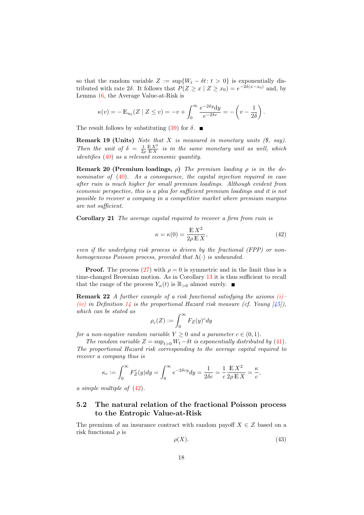so that the random variable  $Z := \sup\{W_t - \delta t : t > 0\}$  is exponentially distributed with rate 2δ. It follows that  $P(Z \ge x \mid Z \ge x_0) = e^{-2\delta(x-x_0)}$  and, by Lemma [16,](#page-17-1) the Average Value-at-Risk is

$$
\kappa(v) = -\mathbb{E}_{u_0}(Z \mid Z \le v) = -v + \int_0^\infty \frac{e^{-2\delta y} dy}{e^{-2\delta v}} = -\left(v - \frac{1}{2\delta}\right).
$$

The result follows by substituting [\(39\)](#page-17-2) for  $\delta$ .

**Remark 19 (Units)** Note that  $X$  is measured in monetary units  $(\hat{\mathbf{s}}, say)$ . Then the unit of  $\delta = \frac{1}{2\rho} \frac{\mathbb{E} X^2}{\mathbb{E} X}$  is in the same monetary unit as well, which identifies [\(40\)](#page-17-3) as a relevant economic quantity.

**Remark 20 (Premium loadings,**  $\rho$ ) The premium loading  $\rho$  is in the de-nominator of [\(40\)](#page-17-3). As a consequence, the capital injection required in case after ruin is much higher for small premium loadings. Although evident from economic perspective, this is a plea for sufficient premium loadings and it is not possible to recover a company in a competitive market where premium margins are not sufficient.

Corollary 21 The average capital required to recover a firm from ruin is

<span id="page-18-0"></span>
$$
\kappa = \kappa(0) = \frac{\mathbb{E} X^2}{2\rho \mathbb{E} X},\tag{42}
$$

even if the underlying risk process is driven by the fractional (FPP) or nonhomogeneous Poisson process, provided that  $\Lambda(\cdot)$  is unbounded.

**Proof.** The process [\(27\)](#page-10-2) with  $\rho = 0$  is symmetric and in the limit thus is a time-changed Brownian motion. As in Corollary [13](#page-15-2) it is thus sufficient to recall that the range of the process  $Y_{\alpha}(t)$  is  $\mathbb{R}_{>0}$  almost surely.

**Remark 22** A further example of a risk functional satisfying the axioms  $(i)$ [\(iv\)](#page-16-0) in Definition [14](#page-15-3) is the proportional Hazard risk measure (cf. Young  $\left[45\right]$ ), which can be stated as

$$
\rho_c(Z) := \int_0^\infty F_Z(y)^c dy
$$

for a non-negative random variable  $Y \geq 0$  and a parameter  $c \in (0, 1)$ .

The random variable  $Z = \sup_{t>0} W_t - \delta t$  is exponentially distributed by [\(41\)](#page-17-4). The proportional Hazard risk corresponding to the average capital required to recover a company thus is

$$
\kappa_c:=\int_0^\infty F_Z^c(y)dy=\int_0^\infty e^{-2\delta cy}dy=\frac{1}{2\delta c}=\frac{1}{c}\frac{\mathbb{E}\,X^2}{2\rho\,\mathbb{E}\,X}=\frac{\kappa}{c},
$$

a simple multiple of [\(42\)](#page-18-0).

## 5.2 The natural relation of the fractional Poisson process to the Entropic Value-at-Risk

The premium of an insurance contract with random payoff  $X \in \mathcal{Z}$  based on a risk functional  $\rho$  is

<span id="page-18-1"></span>
$$
\rho(X). \tag{43}
$$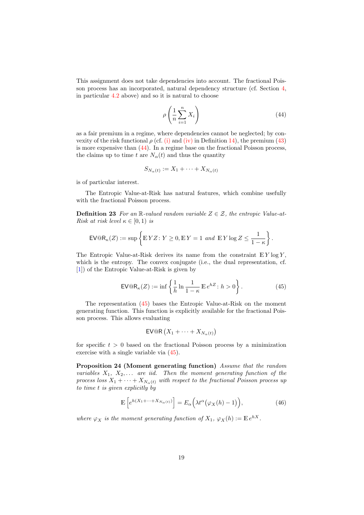This assignment does not take dependencies into account. The fractional Poisson process has an incorporated, natural dependency structure (cf. Section [4,](#page-10-0) in particular [4.2](#page-12-2) above) and so it is natural to choose

<span id="page-19-0"></span>
$$
\rho\left(\frac{1}{n}\sum_{i=1}^{n}X_i\right) \tag{44}
$$

as a fair premium in a regime, where dependencies cannot be neglected; by convexity of the risk functional  $\rho$  (cf. [\(i\)](#page-15-1) and [\(iv\)](#page-16-0) in Definition [14\)](#page-15-3), the premium [\(43\)](#page-18-1) is more expensive than [\(44\)](#page-19-0). In a regime base on the fractional Poisson process, the claims up to time t are  $N_{\alpha}(t)$  and thus the quantity

$$
S_{N_{\alpha}(t)} := X_1 + \cdots + X_{N_{\alpha}(t)}
$$

is of particular interest.

The Entropic Value-at-Risk has natural features, which combine usefully with the fractional Poisson process.

**Definition 23** For an R-valued random variable  $Z \in \mathcal{Z}$ , the entropic Value-at-Risk at risk level  $\kappa \in [0,1)$  is

$$
\mathsf{EV@R}_\kappa(Z) := \sup \left\{ \mathbb{E} \, YZ \colon Y \ge 0, \mathbb{E} \, Y = 1 \, \text{ and } \, \mathbb{E} \, Y \log Z \le \frac{1}{1-\kappa} \right\}.
$$

The Entropic Value-at-Risk derives its name from the constraint  $E Y \log Y$ , which is the entropy. The convex conjugate (i.e., the dual representation, cf. [\[1\]](#page-22-6)) of the Entropic Value-at-Risk is given by

<span id="page-19-1"></span>
$$
\text{EV@R}_{\kappa}(Z) := \inf \left\{ \frac{1}{h} \ln \frac{1}{1 - \kappa} \mathbb{E} e^{hZ} : h > 0 \right\}.
$$
 (45)

The representation [\(45\)](#page-19-1) bases the Entropic Value-at-Risk on the moment generating function. This function is explicitly available for the fractional Poisson process. This allows evaluating

$$
\mathsf{EV@R}\left(X_{1} + \cdots + X_{N_{\alpha}(t)}\right)
$$

for specific  $t > 0$  based on the fractional Poisson process by a minimization exercise with a single variable via [\(45\)](#page-19-1).

Proposition 24 (Moment generating function) Assume that the random variables  $X_1, X_2, \ldots$  are iid. Then the moment generating function of the process loss  $X_1 + \cdots + X_{N_\alpha(t)}$  with respect to the fractional Poisson process up to time t is given explicitly by

<span id="page-19-2"></span>
$$
\mathbb{E}\left[e^{h(X_1+\cdots+X_{N_\alpha(t)})}\right] = E_\alpha\Big(\lambda t^\alpha \big(\varphi_X(h)-1\big)\Big),\tag{46}
$$

where  $\varphi_X$  is the moment generating function of  $X_1$ ,  $\varphi_X(h) := \mathbb{E} e^{hX}$ .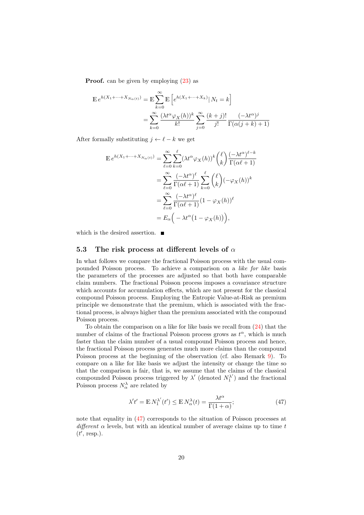**Proof.** can be given by employing  $(23)$  as

$$
\mathbb{E} e^{h(X_1 + \dots + X_{N_\alpha(t)})} = \mathbb{E} \sum_{k=0}^{\infty} \mathbb{E} \left[ e^{h(X_1 + \dots + X_k)} | N_t = k \right]
$$

$$
= \sum_{k=0}^{\infty} \frac{(\lambda t^\alpha \varphi_X(h))^k}{k!} \sum_{j=0}^{\infty} \frac{(k+j)!}{j!} \frac{(-\lambda t^\alpha)^j}{\Gamma(\alpha (j+k)+1)}
$$

After formally substituting  $j \leftarrow \ell - k$  we get

$$
\mathbb{E} e^{h(X_1 + \dots + X_{N_\alpha(t)})} = \sum_{\ell=0}^{\infty} \sum_{k=0}^{\ell} (\lambda t^\alpha \varphi_X(h))^k \binom{\ell}{k} \frac{(-\lambda t^\alpha)^{\ell-k}}{\Gamma(\alpha \ell+1)}
$$

$$
= \sum_{\ell=0}^{\infty} \frac{(-\lambda t^\alpha)^{\ell}}{\Gamma(\alpha \ell+1)} \sum_{k=0}^{\ell} \binom{\ell}{k} (-\varphi_X(h))^k
$$

$$
= \sum_{\ell=0}^{\infty} \frac{(-\lambda t^\alpha)^{\ell}}{\Gamma(\alpha \ell+1)} (1 - \varphi_X(h))^{\ell}
$$

$$
= E_\alpha \left( -\lambda t^\alpha (1 - \varphi_X(h)) \right),
$$

which is the desired assertion.  $\blacksquare$ 

### 5.3 The risk process at different levels of  $\alpha$

In what follows we compare the fractional Poisson process with the usual compounded Poisson process. To achieve a comparison on a like for like basis the parameters of the processes are adjusted so that both have comparable claim numbers. The fractional Poisson process imposes a covariance structure which accounts for accumulation effects, which are not present for the classical compound Poisson process. Employing the Entropic Value-at-Risk as premium principle we demonstrate that the premium, which is associated with the fractional process, is always higher than the premium associated with the compound Poisson process.

To obtain the comparison on a like for like basis we recall from [\(24\)](#page-9-0) that the number of claims of the fractional Poisson process grows as  $t^{\alpha}$ , which is much faster than the claim number of a usual compound Poisson process and hence, the fractional Poisson process generates much more claims than the compound Poisson process at the beginning of the observation (cf. also Remark [9\)](#page-12-3). To compare on a like for like basis we adjust the intensity or change the time so that the comparison is fair, that is, we assume that the claims of the classical compounded Poisson process triggered by  $\lambda'$  (denoted  $N_1^{\lambda'}$  $\binom{\lambda'}{1}$  and the fractional Poisson process  $N_{\alpha}^{\lambda}$  are related by

<span id="page-20-0"></span>
$$
\lambda' t' = \mathbb{E} N_1^{\lambda'} (t') \le \mathbb{E} N_\alpha^{\lambda}(t) = \frac{\lambda t^\alpha}{\Gamma(1+\alpha)}; \tag{47}
$$

<span id="page-20-1"></span>note that equality in [\(47\)](#page-20-0) corresponds to the situation of Poisson processes at different  $\alpha$  levels, but with an identical number of average claims up to time t  $(t', \text{resp.}).$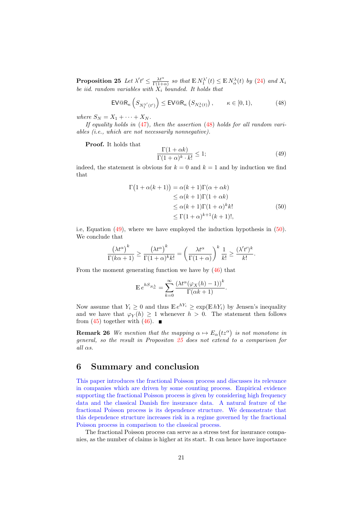**Proposition 25** Let  $\lambda' t' \leq \frac{\lambda t^{\alpha}}{\Gamma(1+\alpha)}$  so that  $\mathbb{E} N_1^{\lambda'}$  $K_1^{\lambda'}(t) \leq \mathbb{E} N_\alpha^{\lambda}(t)$  by [\(24\)](#page-9-0) and  $X_i$ be iid. random variables with  $X_i$  bounded. It holds that

<span id="page-21-1"></span>
$$
\text{EV@R}_{\kappa}\left(S_{N_1^{\lambda'}(t')}\right) \leq \text{EV@R}_{\kappa}\left(S_{N_\alpha^{\lambda}(t)}\right), \qquad \kappa \in [0,1), \tag{48}
$$

where  $S_N = X_1 + \cdots + X_N$ .

If equality holds in  $(47)$ , then the assertion  $(48)$  holds for all random variables (i.e., which are not necessarily nonnegative).

Proof. It holds that

<span id="page-21-3"></span><span id="page-21-2"></span>
$$
\frac{\Gamma(1+\alpha k)}{\Gamma(1+\alpha)^k \cdot k!} \le 1; \tag{49}
$$

indeed, the statement is obvious for  $k = 0$  and  $k = 1$  and by induction we find that

$$
\Gamma(1 + \alpha(k+1)) = \alpha(k+1)\Gamma(\alpha + \alpha k)
$$
  
\n
$$
\leq \alpha(k+1)\Gamma(1+\alpha k)
$$
  
\n
$$
\leq \alpha(k+1)\Gamma(1+\alpha)^{k}k!
$$
  
\n
$$
\leq \Gamma(1+\alpha)^{k+1}(k+1)!,
$$
\n(50)

i.e, Equation [\(49\)](#page-21-2), where we have employed the induction hypothesis in [\(50\)](#page-21-3). We conclude that

$$
\frac{(\lambda t^{\alpha})^k}{\Gamma(k\alpha+1)} \ge \frac{(\lambda t^{\alpha})^k}{\Gamma(1+\alpha)^k k!} = \left(\frac{\lambda t^{\alpha}}{\Gamma(1+\alpha)}\right)^k \frac{1}{k!} \ge \frac{(\lambda' t')^k}{k!}.
$$

From the moment generating function we have by [\(46\)](#page-19-2) that

$$
\mathbb{E} e^{hS_{N_{\alpha}^{\lambda}}} = \sum_{k=0}^{\infty} \frac{\left(\lambda t^{\alpha}(\varphi_X(h) - 1)\right)^k}{\Gamma(\alpha k + 1)}.
$$

Now assume that  $Y_i \geq 0$  and thus  $\mathbb{E} e^{hY_i} \geq \exp(\mathbb{E} hY_i)$  by Jensen's inequality and we have that  $\varphi_Y(h) \geq 1$  whenever  $h > 0$ . The statement then follows from [\(45\)](#page-19-1) together with [\(46\)](#page-19-2).  $\blacksquare$ 

**Remark 26** We mention that the mapping  $\alpha \mapsto E_{\alpha}(tz^{\alpha})$  is not monotone in general, so the result in Propositon  $25$  does not extend to a comparison for all  $\alpha s$ .

## <span id="page-21-0"></span>6 Summary and conclusion

This paper introduces the fractional Poisson process and discusses its relevance in companies which are driven by some counting process. Empirical evidence supporting the fractional Poisson process is given by considering high frequency data and the classical Danish fire insurance data. A natural feature of the fractional Poisson process is its dependence structure. We demonstrate that this dependence structure increases risk in a regime governed by the fractional Poisson process in comparison to the classical process.

The fractional Poisson process can serve as a stress test for insurance companies, as the number of claims is higher at its start. It can hence have importance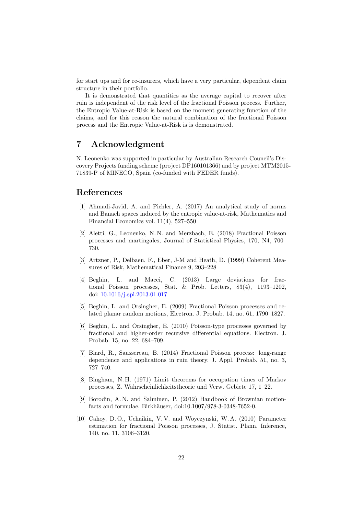for start ups and for re-insurers, which have a very particular, dependent claim structure in their portfolio.

It is demonstrated that quantities as the average capital to recover after ruin is independent of the risk level of the fractional Poisson process. Further, the Entropic Value-at-Risk is based on the moment generating function of the claims, and for this reason the natural combination of the fractional Poisson process and the Entropic Value-at-Risk is is demonstrated.

# 7 Acknowledgment

N. Leonenko was supported in particular by Australian Research Council's Discovery Projects funding scheme (project DP160101366) and by project MTM2015- 71839-P of MINECO, Spain (co-funded with FEDER funds).

## References

- <span id="page-22-6"></span>[1] Ahmadi-Javid, A. and Pichler, A. (2017) An analytical study of norms and Banach spaces induced by the entropic value-at-risk, Mathematics and Financial Economics vol. 11(4), 527–550
- <span id="page-22-3"></span>[2] Aletti, G., Leonenko, N. N. and Merzbach, E. (2018) Fractional Poisson processes and martingales, Journal of Statistical Physics, 170, N4, 700– 730.
- <span id="page-22-4"></span>[3] Artzner, P., Delbaen, F., Eber, J-M and Heath, D. (1999) Coherent Measures of Risk, Mathematical Finance 9, 203–228
- [4] Beghin, L. and Macci, C. (2013) Large deviations for fractional Poisson processes, Stat. & Prob. Letters, 83(4), 1193–1202, doi: [10.1016/j.spl.2013.01.017](http://dx.doi.org/10.1016/j.spl.2013.01.017)
- <span id="page-22-1"></span>[5] Beghin, L. and Orsingher, E. (2009) Fractional Poisson processes and related planar random motions, Electron. J. Probab. 14, no. 61, 1790–1827.
- <span id="page-22-2"></span>[6] Beghin, L. and Orsingher, E. (2010) Poisson-type processes governed by fractional and higher-order recursive differential equations. Electron. J. Probab. 15, no. 22, 684–709.
- [7] Biard, R., Saussereau, B. (2014) Fractional Poisson process: long-range dependence and applications in ruin theory. J. Appl. Probab. 51, no. 3, 727–740.
- <span id="page-22-0"></span>[8] Bingham, N. H. (1971) Limit theorems for occupation times of Markov processes, Z. Wahrscheinlichkeitstheorie und Verw. Gebiete 17, 1–22.
- <span id="page-22-5"></span>[9] Borodin, A. N. and Salminen, P. (2012) Handbook of Brownian motionfacts and formulae, Birkhäuser, doi:10.1007/978-3-0348-7652-0.
- [10] Cahoy, D. O., Uchaikin, V. V. and Woyczynski, W. A. (2010) Parameter estimation for fractional Poisson processes, J. Statist. Plann. Inference, 140, no. 11, 3106–3120.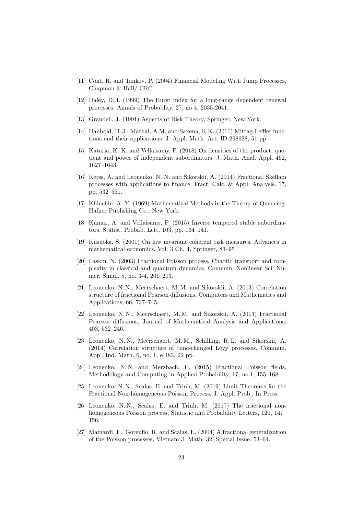- <span id="page-23-12"></span>[11] Cont, R. and Tankov, P. (2004) Financial Modeling With Jump Processes, Chapman & Hall/ CRC.
- <span id="page-23-8"></span>[12] Daley, D. J. (1999) The Hurst index for a long-range dependent renewal processes, Annals of Probablity, 27, no 4, 2035-2041.
- <span id="page-23-1"></span>[13] Grandell, J. (1991) Aspects of Risk Theory, Springer, New York.
- <span id="page-23-5"></span>[14] Haubold, H. J., Mathai, A.M. and Saxena, R.K. (2011) Mittag-Leffler functions and their applications. J. Appl. Math. Art. ID 298628, 51 pp.
- <span id="page-23-3"></span>[15] Kataria, K. K. and Vellaisamy, P. (2018) On densities of the product, quotient and power of independent subordinators. J. Math. Anal. Appl. 462, 1627–1643.
- <span id="page-23-2"></span>[16] Kerss, A. and Leonenko, N. N. and Sikorskii, A. (2014) Fractional Skellam processes with applications to finance. Fract. Calc. & Appl. Analysis. 17, pp. 532–551.
- <span id="page-23-0"></span>[17] Khinchin, A. Y. (1969) Mathematical Methods in the Theory of Queueing. Hafner Publishing Co., New York.
- <span id="page-23-4"></span>[18] Kumar, A. and Vellaisamy, P. (2015) Inverse tempered stable subordinators. Statist. Probab. Lett. 103, pp. 134–141.
- <span id="page-23-11"></span>[19] Kusuoka, S. (2001) On law invariant coherent risk measures. Advances in mathematical economics, Vol. 3 Ch. 4, Springer, 83–95
- [20] Laskin, N. (2003) Fractional Poisson process. Chaotic transport and complexity in classical and quantum dynamics, Commun. Nonlinear Sci. Numer. Simul. 8, no. 3-4, 201–213.
- [21] Leonenko, N. N., Meerschaert, M. M. and Sikorskii, A. (2013) Correlation structure of fractional Pearson diffusions, Computers and Mathematics and Applications, 66, 737–745.
- [22] Leonenko, N. N., Meerschaert, M. M. and Sikorskii, A. (2013) Fractional Pearson diffusions, Journal of Mathematical Analysis and Applications, 403, 532–246.
- <span id="page-23-7"></span>[23] Leonenko, N. N., Meerschaert, M. M., Schilling, R. L. and Sikorskii, A.  $(2014)$  Correlation structure of time-changed Lévy processes. Commun. Appl. Ind. Math. 6, no. 1, e-483, 22 pp.
- [24] Leonenko, N. N. and Merzbach, E. (2015) Fractional Poisson fields, Methodology and Computing in Applied Probability, 17, no.1, 155–168.
- <span id="page-23-10"></span>[25] Leonenko, N. N., Scalas, E. and Trinh, M. (2019) Limit Theorems for the Fractional Non-homogeneous Poisson Process, J. Appl. Prob., In Press.
- <span id="page-23-9"></span>[26] Leonenko, N.N., Scalas, E. and Trinh, M. (2017) The fractional nonhomogeneous Poisson process, Statistic and Probability Letters, 120, 147– 156.
- <span id="page-23-6"></span>[27] Mainardi, F., Gorenflo, R. and Scalas, E. (2004) A fractional generalization of the Poisson processes, Vietnam J. Math. 32, Special Issue, 53–64.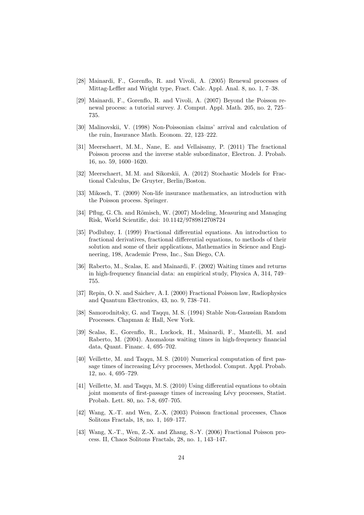- <span id="page-24-6"></span>[28] Mainardi, F., Gorenflo, R. and Vivoli, A. (2005) Renewal processes of Mittag-Leffler and Wright type, Fract. Calc. Appl. Anal. 8, no. 1, 7–38.
- [29] Mainardi, F., Gorenflo, R. and Vivoli, A. (2007) Beyond the Poisson renewal process: a tutorial survey. J. Comput. Appl. Math. 205, no. 2, 725– 735.
- [30] Malinovskii, V. (1998) Non-Poissonian claims' arrival and calculation of the ruin, Insurance Math. Econom. 22, 123–222.
- <span id="page-24-7"></span>[31] Meerschaert, M. M., Nane, E. and Vellaisamy, P. (2011) The fractional Poisson process and the inverse stable subordinator, Electron. J. Probab. 16, no. 59, 1600–1620.
- <span id="page-24-4"></span>[32] Meerschaert, M. M. and Sikorskii, A. (2012) Stochastic Models for Fractional Calculus, De Gruyter, Berlin/Boston.
- <span id="page-24-8"></span>[33] Mikosch, T. (2009) Non-life insurance mathematics, an introduction with the Poisson process. Springer.
- <span id="page-24-9"></span>[34] Pflug, G. Ch. and Römisch, W. (2007) Modeling, Measuring and Managing Risk, World Scientific, doi: 10.1142/9789812708724
- [35] Podlubny, I. (1999) Fractional differential equations. An introduction to fractional derivatives, fractional differential equations, to methods of their solution and some of their applications, Mathematics in Science and Engineering, 198, Academic Press, Inc., San Diego, CA.
- <span id="page-24-0"></span>[36] Raberto, M., Scalas, E. and Mainardi, F. (2002) Waiting times and returns in high-frequency financial data: an empirical study, Physica A, 314, 749– 755.
- [37] Repin, O. N. and Saichev, A. I. (2000) Fractional Poisson law, Radiophysics and Quantum Electronics, 43, no. 9, 738–741.
- <span id="page-24-5"></span>[38] Samorodnitsky, G. and Taqqu, M. S. (1994) Stable Non-Gaussian Random Processes. Chapman & Hall, New York.
- <span id="page-24-1"></span>[39] Scalas, E., Gorenflo, R., Luckock, H., Mainardi, F., Mantelli, M. and Raberto, M. (2004). Anomalous waiting times in high-frequency financial data, Quant. Financ. 4, 695–702.
- <span id="page-24-2"></span>[40] Veillette, M. and Taqqu, M. S. (2010) Numerical computation of first passage times of increasing Lévy processes, Methodol. Comput. Appl. Probab. 12, no. 4, 695–729.
- <span id="page-24-3"></span>[41] Veillette, M. and Taqqu, M. S. (2010) Using differential equations to obtain joint moments of first-passage times of increasing Lévy processes, Statist. Probab. Lett. 80, no. 7-8, 697–705.
- [42] Wang, X.-T. and Wen, Z.-X. (2003) Poisson fractional processes, Chaos Solitons Fractals, 18, no. 1, 169–177.
- [43] Wang, X.-T., Wen, Z.-X. and Zhang, S.-Y. (2006) Fractional Poisson process. II, Chaos Solitons Fractals, 28, no. 1, 143–147.